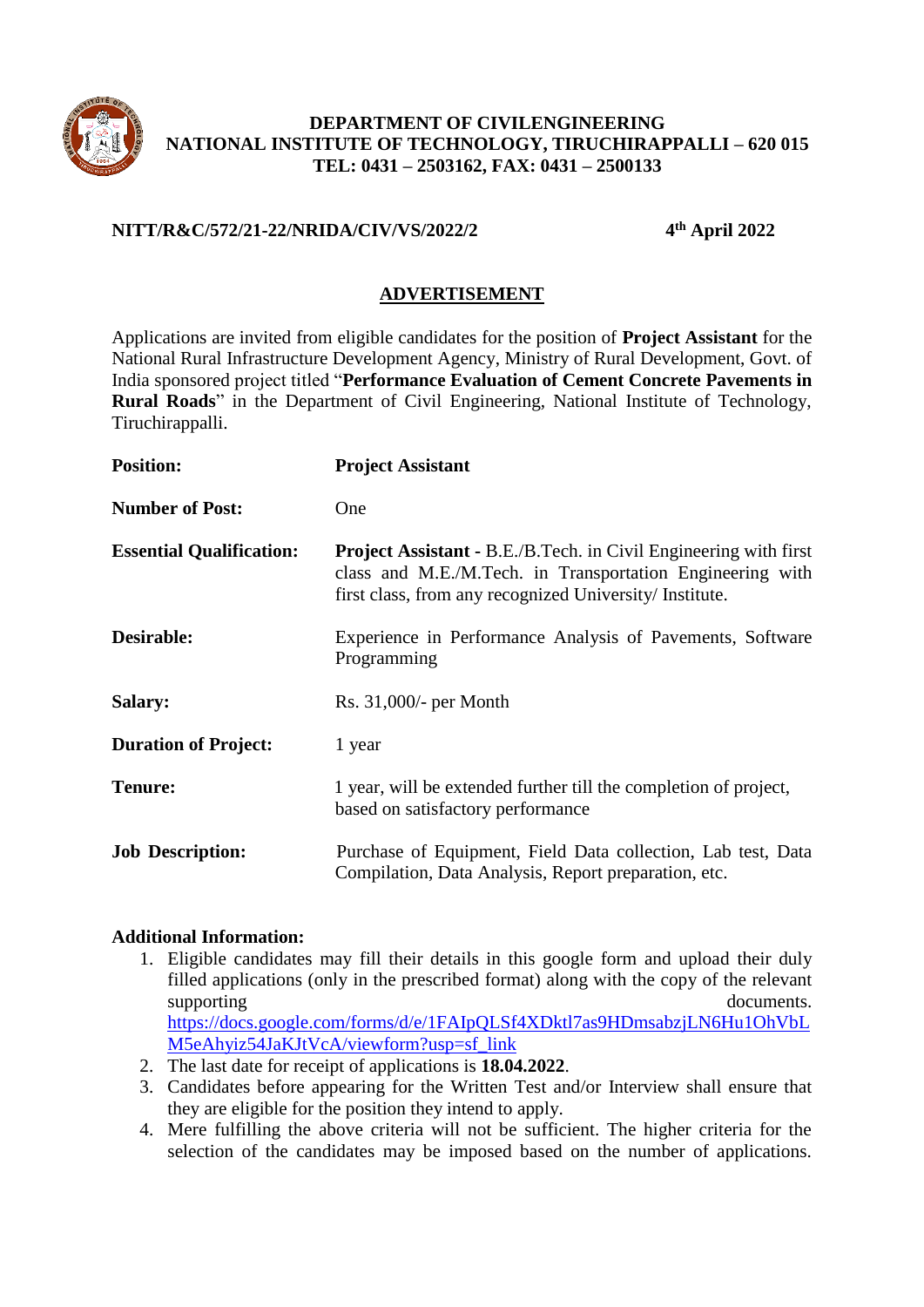

## **DEPARTMENT OF CIVILENGINEERING NATIONAL INSTITUTE OF TECHNOLOGY, TIRUCHIRAPPALLI – 620 015 TEL: 0431 – 2503162, FAX: 0431 – 2500133**

## **NITT/R&C/572/21-22/NRIDA/CIV/VS/2022/2 4**

**th April 2022**

## **ADVERTISEMENT**

Applications are invited from eligible candidates for the position of **Project Assistant** for the National Rural Infrastructure Development Agency, Ministry of Rural Development, Govt. of India sponsored project titled "**Performance Evaluation of Cement Concrete Pavements in Rural Roads**" in the Department of Civil Engineering, National Institute of Technology, Tiruchirappalli.

| <b>Position:</b>                | <b>Project Assistant</b>                                                                                                                                                                        |  |
|---------------------------------|-------------------------------------------------------------------------------------------------------------------------------------------------------------------------------------------------|--|
| <b>Number of Post:</b>          | One                                                                                                                                                                                             |  |
| <b>Essential Qualification:</b> | <b>Project Assistant - B.E./B.Tech. in Civil Engineering with first</b><br>class and M.E./M.Tech. in Transportation Engineering with<br>first class, from any recognized University/ Institute. |  |
| Desirable:                      | Experience in Performance Analysis of Pavements, Software<br>Programming                                                                                                                        |  |
| <b>Salary:</b>                  | $Rs. 31,000/-$ per Month                                                                                                                                                                        |  |
| <b>Duration of Project:</b>     | 1 year                                                                                                                                                                                          |  |
| <b>Tenure:</b>                  | 1 year, will be extended further till the completion of project,<br>based on satisfactory performance                                                                                           |  |
| <b>Job Description:</b>         | Purchase of Equipment, Field Data collection, Lab test, Data<br>Compilation, Data Analysis, Report preparation, etc.                                                                            |  |

## **Additional Information:**

- 1. Eligible candidates may fill their details in this google form and upload their duly filled applications (only in the prescribed format) along with the copy of the relevant supporting documents. [https://docs.google.com/forms/d/e/1FAIpQLSf4XDktl7as9HDmsabzjLN6Hu1OhVbL](https://docs.google.com/forms/d/e/1FAIpQLSf4XDktl7as9HDmsabzjLN6Hu1OhVbLM5eAhyiz54JaKJtVcA/viewform?usp=sf_link) [M5eAhyiz54JaKJtVcA/viewform?usp=sf\\_link](https://docs.google.com/forms/d/e/1FAIpQLSf4XDktl7as9HDmsabzjLN6Hu1OhVbLM5eAhyiz54JaKJtVcA/viewform?usp=sf_link)
- 2. The last date for receipt of applications is **18.04.2022**.
- 3. Candidates before appearing for the Written Test and/or Interview shall ensure that they are eligible for the position they intend to apply.
- 4. Mere fulfilling the above criteria will not be sufficient. The higher criteria for the selection of the candidates may be imposed based on the number of applications.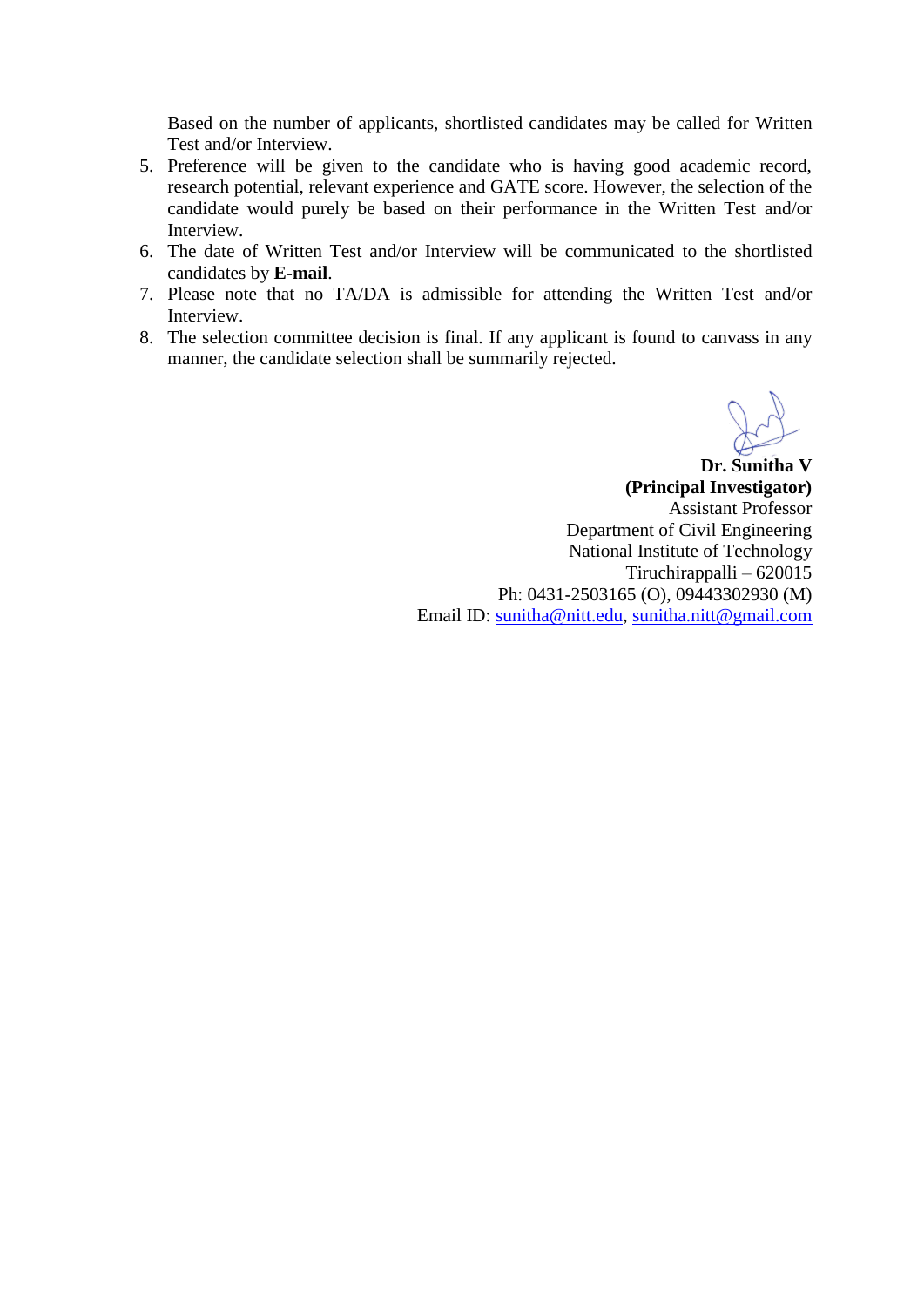Based on the number of applicants, shortlisted candidates may be called for Written Test and/or Interview.

- 5. Preference will be given to the candidate who is having good academic record, research potential, relevant experience and GATE score. However, the selection of the candidate would purely be based on their performance in the Written Test and/or Interview.
- 6. The date of Written Test and/or Interview will be communicated to the shortlisted candidates by **E-mail**.
- 7. Please note that no TA/DA is admissible for attending the Written Test and/or Interview.
- 8. The selection committee decision is final. If any applicant is found to canvass in any manner, the candidate selection shall be summarily rejected.

**Dr. Sunitha V (Principal Investigator)** Assistant Professor Department of Civil Engineering National Institute of Technology Tiruchirappalli – 620015 Ph: 0431-2503165 (O), 09443302930 (M) Email ID: [sunitha@nitt.edu,](mailto:sunitha@nitt.edu) [sunitha.nitt@gmail.com](mailto:sunitha.nitt@gmail.com)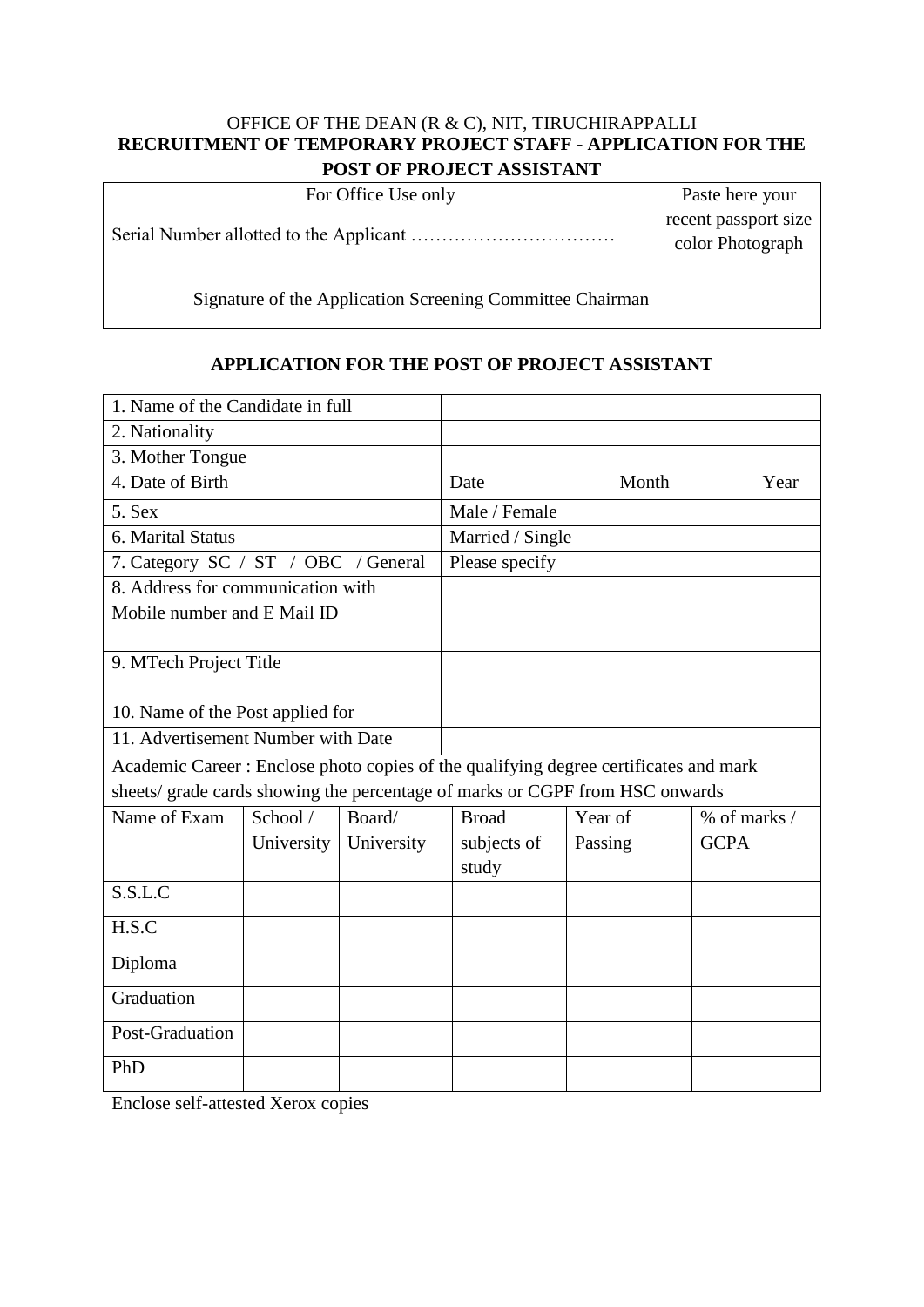#### OFFICE OF THE DEAN (R & C), NIT, TIRUCHIRAPPALLI **RECRUITMENT OF TEMPORARY PROJECT STAFF - APPLICATION FOR THE POST OF PROJECT ASSISTANT**

| For Office Use only                                       | Paste here your                          |
|-----------------------------------------------------------|------------------------------------------|
|                                                           | recent passport size<br>color Photograph |
| Signature of the Application Screening Committee Chairman |                                          |

## **APPLICATION FOR THE POST OF PROJECT ASSISTANT**

| 1. Name of the Candidate in full                                                      |            |            |                  |         |                  |  |
|---------------------------------------------------------------------------------------|------------|------------|------------------|---------|------------------|--|
| 2. Nationality                                                                        |            |            |                  |         |                  |  |
| 3. Mother Tongue                                                                      |            |            |                  |         |                  |  |
| 4. Date of Birth                                                                      |            |            | Date             | Month   | Year             |  |
| 5. Sex                                                                                |            |            | Male / Female    |         |                  |  |
| 6. Marital Status                                                                     |            |            | Married / Single |         |                  |  |
| 7. Category SC / ST / OBC / General                                                   |            |            | Please specify   |         |                  |  |
| 8. Address for communication with                                                     |            |            |                  |         |                  |  |
| Mobile number and E Mail ID                                                           |            |            |                  |         |                  |  |
|                                                                                       |            |            |                  |         |                  |  |
| 9. MTech Project Title                                                                |            |            |                  |         |                  |  |
|                                                                                       |            |            |                  |         |                  |  |
| 10. Name of the Post applied for                                                      |            |            |                  |         |                  |  |
| 11. Advertisement Number with Date                                                    |            |            |                  |         |                  |  |
| Academic Career : Enclose photo copies of the qualifying degree certificates and mark |            |            |                  |         |                  |  |
| sheets/ grade cards showing the percentage of marks or CGPF from HSC onwards          |            |            |                  |         |                  |  |
| Name of Exam                                                                          | School /   | Board/     | <b>Broad</b>     | Year of | $%$ of marks $/$ |  |
|                                                                                       | University | University | subjects of      | Passing | <b>GCPA</b>      |  |
|                                                                                       |            |            | study            |         |                  |  |
| S.S.L.C                                                                               |            |            |                  |         |                  |  |
| H.S.C                                                                                 |            |            |                  |         |                  |  |
| Diploma                                                                               |            |            |                  |         |                  |  |
| Graduation                                                                            |            |            |                  |         |                  |  |
| Post-Graduation                                                                       |            |            |                  |         |                  |  |
| PhD                                                                                   |            |            |                  |         |                  |  |

Enclose self-attested Xerox copies